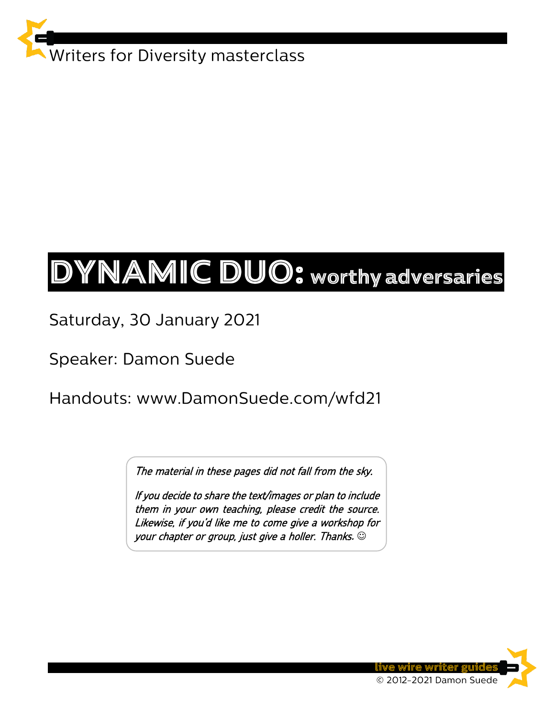

# DYNAMIC DUO: worthy adversaries

Saturday, 30 January 2021

Speaker: Damon Suede

Handouts: www.DamonSuede.com/wfd21

The material in these pages did not fall from the sky.

If you decide to share the text/images or plan to include them in your own teaching, please credit the source. Likewise, if you'd like me to come give a workshop for your chapter or group, just give a holler. Thanks**.** ☺

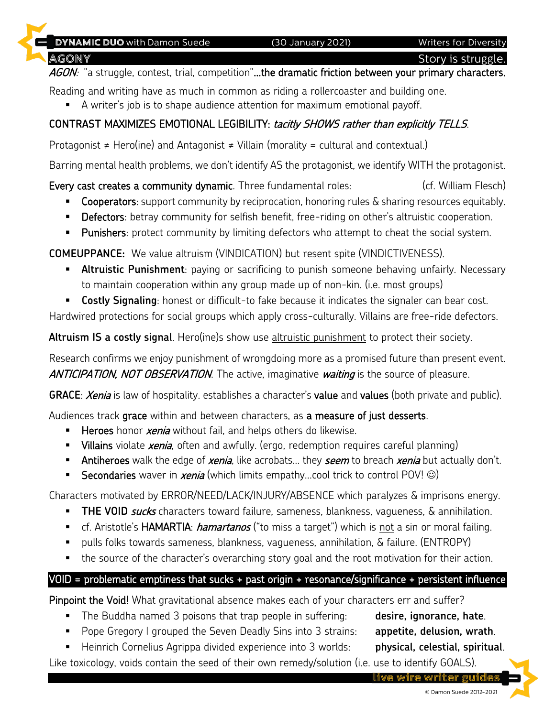**Writers for Diversity** 

**AGONY** 

**E** DYNAMIC DUO with Damon Suede

AGON: "a struggle, contest, trial, competition"...the dramatic friction between your primary characters.

Reading and writing have as much in common as riding a rollercoaster and building one.

■ A writer's job is to shape audience attention for maximum emotional payoff.

#### **CONTRAST** MAXIMIZES EMOTIONAL LEGIBILITY: tacitly SHOWS rather than explicitly TELLS.

Protagonist  $\neq$  Hero(ine) and Antagonist  $\neq$  Villain (morality = cultural and contextual.)

Barring mental health problems, we don't identify AS the protagonist, we identify WITH the protagonist.

Every cast creates a community dynamic. Three fundamental roles: (cf. William Flesch)

- **EX Cooperators:** support community by reciprocation, honoring rules & sharing resources equitably.
- **Defectors**: betray community for selfish benefit, free-riding on other's altruistic cooperation.
- Punishers: protect community by limiting defectors who attempt to cheat the social system.

**COMEUPPANCE:** We value altruism (VINDICATION) but resent spite (VINDICTIVENESS).

- **E** Altruistic Punishment: paying or sacrificing to punish someone behaving unfairly. Necessary to maintain cooperation within any group made up of non-kin. (i.e. most groups)
- **EXTE: Lostly Signaling:** honest or difficult-to fake because it indicates the signaler can bear cost.

Hardwired protections for social groups which apply cross-culturally. Villains are free-ride defectors.

**Altruism IS a costly signal**. Hero(ine)s show use altruistic punishment to protect their society.

Research confirms we enjoy punishment of wrongdoing more as a promised future than present event. ANTICIPATION, NOT OBSERVATION. The active, imaginative waiting is the source of pleasure.

**GRACE:** *Xenia* is law of hospitality. establishes a character's value and values (both private and public).

Audiences track grace within and between characters, as a measure of just desserts.

- **E** Heroes honor *xenia* without fail, and helps others do likewise.
- **E** Villains violate *xenia*, often and awfully. (ergo, redemption requires careful planning)
- **Antiheroes** walk the edge of *xenia*, like acrobats... they *seem* to breach *xenia* but actually don't.
- Secondaries waver in *xenia* (which limits empathy...cool trick to control POV! ☺)

Characters motivated by ERROR/NEED/LACK/INJURY/ABSENCE which paralyzes & imprisons energy.

- **THE VOID** *sucks* characters toward failure, sameness, blankness, vagueness, & annihilation.
- **E** cf. Aristotle's HAMARTIA: *hamartanos* ("to miss a target") which is not a sin or moral failing.
- pulls folks towards sameness, blankness, vagueness, annihilation, & failure. (ENTROPY)
- the source of the character's overarching story goal and the root motivation for their action.

#### VOID = problematic emptiness that sucks + past origin + resonance/significance + persistent influence

Pinpoint the Void! What gravitational absence makes each of your characters err and suffer?

- The Buddha named 3 poisons that trap people in suffering: **desire, ignorance, hate.**
- Pope Gregory I grouped the Seven Deadly Sins into 3 strains: **appetite, delusion, wrath**.
- **E** Heinrich Cornelius Agrippa divided experience into 3 worlds: **physical, celestial, spiritual**.

Like toxicology, voids contain the seed of their own remedy/solution (i.e. use to identify GOALS).

live wire writer guid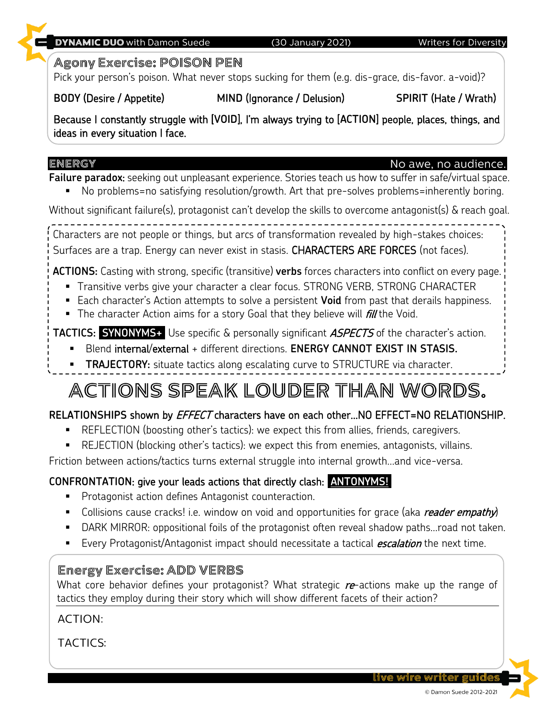#### Agony Exercise: POISON PEN

Pick your person's poison. What never stops sucking for them (e.g. dis-grace, dis-favor. a-void)?

(30 January 2021)

#### **BODY** (Desire / Appetite) **MIND** (Ignorance / Delusion) **SPIRIT** (Hate / Wrath)

**DYNAMIC DUO with Damon Suede** 

Because I constantly struggle with [**VOID**], I'm always trying to [**ACTION**] people, places, things, and ideas in every situation I face.

### ENERGY

**Failure paradox**: seeking out unpleasant experience. Stories teach us how to suffer in safe/virtual space. No problems=no satisfying resolution/growth. Art that pre-solves problems=inherently boring.

Without significant failure(s), protagonist can't develop the skills to overcome antagonist(s) & reach goal.

Characters are not people or things, but arcs of transformation revealed by high-stakes choices: Surfaces are a trap. Energy can never exist in stasis. CHARACTERS ARE FORCES (not faces).

**ACTIONS:** Casting with strong, specific (transitive) **verbs** forces characters into conflict on every page.

- **Transitive verbs give your character a clear focus. STRONG VERB, STRONG CHARACTER**
- Each character's Action attempts to solve a persistent **Void** from past that derails happiness.
- **The character Action aims for a story Goal that they believe will fill the Void.**

# **TACTICS: SYNONYMS+** Use specific & personally significant *ASPECTS* of the character's action.

- Blend internal/external + different directions. **ENERGY CANNOT EXIST IN STASIS.**
- **TRAJECTORY:** situate tactics along escalating curve to STRUCTURE via character.

# ACTIONS SPEAK LOUDER THAN WORDS.

# **RELATIONSHIPS** shown by EFFECT characters have on each other…NO EFFECT=NO RELATIONSHIP.

- REFLECTION (boosting other's tactics): we expect this from allies, friends, caregivers.
- **EXECTION** (blocking other's tactics): we expect this from enemies, antagonists, villains.

Friction between actions/tactics turns external struggle into internal growth…and vice-versa.

# **CONFRONTATION**: give your leads actions that directly clash: **ANTONYMS!.**

- **Protagonist action defines Antagonist counteraction.**
- Collisions cause cracks! i.e. window on void and opportunities for grace (aka *reader empathy*)
- DARK MIRROR: oppositional foils of the protagonist often reveal shadow paths...road not taken.
- **E** Every Protagonist/Antagonist impact should necessitate a tactical **escalation** the next time.

# **Energy Exercise: ADD VERBS**

What core behavior defines your protagonist? What strategic  $re$ -actions make up the range of tactics they employ during their story which will show different facets of their action?

**ACTION:** 

**TACTICS:** 

#### **Writers for Diversity**

# No awe, no audience.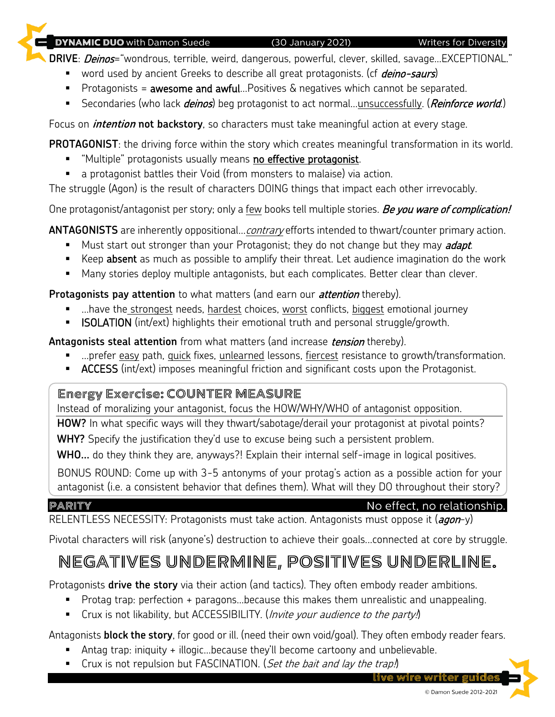#### **DYNAMIC DUO** with Damon Suede

(30 January 2021)

**Writers for Diversity** 

**DRIVE**: *Deinos*="wondrous, terrible, weird, dangerous, powerful, clever, skilled, savage...EXCEPTIONAL."

- word used by ancient Greeks to describe all great protagonists. (cf *deino-saurs*)
- Protagonists = awesome and awful...Positives & negatives which cannot be separated.
- Secondaries (who lack *deinos*) beg protagonist to act normal...unsuccessfully. (*Reinforce world.*)

Focus on **intention not backstory**, so characters must take meaningful action at every stage.

**PROTAGONIST**: the driving force within the story which creates meaningful transformation in its world.

- **EXECT** "Multiple" protagonists usually means no effective protagonist.
- a protagonist battles their Void (from monsters to malaise) via action.

The struggle (Agon) is the result of characters DOING things that impact each other irrevocably.

One protagonist/antagonist per story; only a few books tell multiple stories. Be you ware of complication!

**ANTAGONISTS** are inherently oppositional...*contrary* efforts intended to thwart/counter primary action.

- Must start out stronger than your Protagonist; they do not change but they may *adapt*.
- Keep absent as much as possible to amplify their threat. Let audience imagination do the work
- Many stories deploy multiple antagonists, but each complicates. Better clear than clever.

#### **Protagonists pay attention** to what matters (and earn our *attention* thereby).

- ... have the strongest needs, hardest choices, worst conflicts, biggest emotional journey
- **ISOLATION** (int/ext) highlights their emotional truth and personal struggle/growth.

**Antagonists steal attention** from what matters (and increase *tension* thereby).

- ...prefer easy path, quick fixes, unlearned lessons, fiercest resistance to growth/transformation.
- **E** ACCESS (int/ext) imposes meaningful friction and significant costs upon the Protagonist.

#### Energy Exercise: COUNTER MEASURE

Instead of moralizing your antagonist, focus the HOW/WHY/WHO of antagonist opposition.

**HOW?** In what specific ways will they thwart/sabotage/derail your protagonist at pivotal points?

**WHY?** Specify the justification they'd use to excuse being such a persistent problem.

**WHO…** do they think they are, anyways?! Explain their internal self-image in logical positives.

BONUS ROUND: Come up with 3-5 antonyms of your protag's action as a possible action for your antagonist (i.e. a consistent behavior that defines them). What will they DO throughout their story?

#### PARITY

## No effect, no relationship.

RELENTLESS NECESSITY: Protagonists must take action. Antagonists must oppose it (agon-y)

Pivotal characters will risk (anyone's) destruction to achieve their goals...connected at core by struggle.

# NEGATIVES UNDERMINE, POSITIVES UNDERLINE.

Protagonists **drive the story** via their action (and tactics). They often embody reader ambitions.

- Protag trap: perfection + paragons...because this makes them unrealistic and unappealing.
- Crux is not likability, but ACCESSIBILITY. (*Invite your audience to the party!*)

Antagonists **block the story**, for good or ill. (need their own void/goal). They often embody reader fears.

- Antag trap: iniquity + illogic...because they'll become cartoony and unbelievable.
- Crux is not repulsion but FASCINATION. (Set the bait and lay the trap.)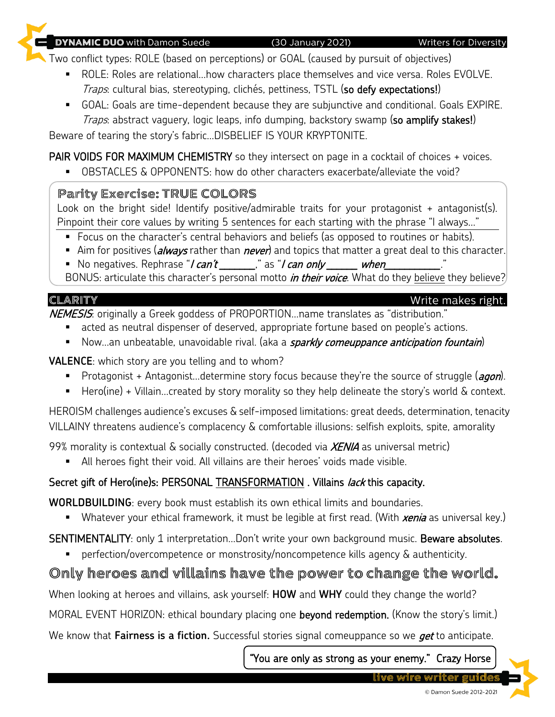© Damon Suede 2012-2021

#### (30 January 2021)

Two conflict types: ROLE (based on perceptions) or GOAL (caused by pursuit of objectives)

- ROLE: Roles are relational...how characters place themselves and vice versa. Roles EVOLVE.
	- Traps: cultural bias, stereotyping, clichés, pettiness, TSTL (so defy expectations!)
- GOAL: Goals are time-dependent because they are subjunctive and conditional. Goals EXPIRE. Traps: abstract vaguery, logic leaps, info dumping, backstory swamp (so amplify stakes!)

Beware of tearing the story's fabric…DISBELIEF IS YOUR KRYPTONITE.

PAIR VOIDS FOR MAXIMUM CHEMISTRY so they intersect on page in a cocktail of choices + voices.

▪ OBSTACLES & OPPONENTS: how do other characters exacerbate/alleviate the void?

# Parity Exercise: TRUE COLORS

**DYNAMIC DUO** with Damon Suede

Look on the bright side! Identify positive/admirable traits for your protagonist + antagonist(s). Pinpoint their core values by writing 5 sentences for each starting with the phrase "I always…"

- Focus on the character's central behaviors and beliefs (as opposed to routines or habits).
- Aim for positives (*always* rather than *never*) and topics that matter a great deal to this character.
- **E** No negatives. Rephrase "*I can't* \_\_\_\_\_\_," as "*I can only \_\_\_\_\_\_\_ when* BONUS: articulate this character's personal motto *in their voice*. What do they believe they believe?

# CLARITY

NEMESIS: originally a Greek goddess of PROPORTION...name translates as "distribution."

- acted as neutral dispenser of deserved, appropriate fortune based on people's actions.
- Now…an unbeatable, unavoidable rival. (aka a *sparkly comeuppance anticipation fountain*)

**VALENCE**: which story are you telling and to whom?

- Protagonist + Antagonist...determine story focus because they're the source of struggle (*agon*).
- Hero(ine) + Villain...created by story morality so they help delineate the story's world  $\&$  context.

HEROISM challenges audience's excuses & self-imposed limitations: great deeds, determination, tenacity VILLAINY threatens audience's complacency & comfortable illusions: selfish exploits, spite, amorality

99% morality is contextual & socially constructed. (decoded via  $XENIA$  as universal metric)

■ All heroes fight their void. All villains are their heroes' voids made visible.

# Secret gift of Hero(ine)s: PERSONAL TRANSFORMATION. Villains lack this capacity.

**WORLDBUILDING**: every book must establish its own ethical limits and boundaries.

■ Whatever your ethical framework, it must be legible at first read. (With *xenia* as universal key.)

# SENTIMENTALITY: only 1 interpretation...Don't write your own background music. Beware absolutes.

perfection/overcompetence or monstrosity/noncompetence kills agency & authenticity.

# Only heroes and villains have the power to change the world.

When looking at heroes and villains, ask yourself: **HOW** and **WHY** could they change the world?

MORAL EVENT HORIZON: ethical boundary placing one beyond redemption. (Know the story's limit.)

We know that **Fairness is a fiction.** Successful stories signal comeuppance so we get to anticipate.

"You are only as strong as your enemy." Crazy Horse



Write makes right.